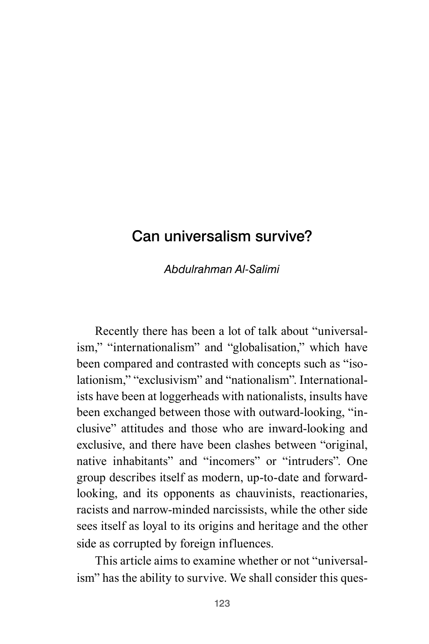## Can universalism survive?

*Abdulrahman Al-Salimi*

Recently there has been a lot of talk about "universalism," "internationalism" and "globalisation," which have been compared and contrasted with concepts such as "isolationism," "exclusivism" and "nationalism". Internationalists have been at loggerheads with nationalists, insults have been exchanged between those with outward-looking, "inclusive" attitudes and those who are inward-looking and exclusive, and there have been clashes between "original, native inhabitants" and "incomers" or "intruders". One group describes itself as modern, up-to-date and forwardlooking, and its opponents as chauvinists, reactionaries, racists and narrow-minded narcissists, while the other side sees itself as loyal to its origins and heritage and the other side as corrupted by foreign influences.

This article aims to examine whether or not "universalism" has the ability to survive. We shall consider this ques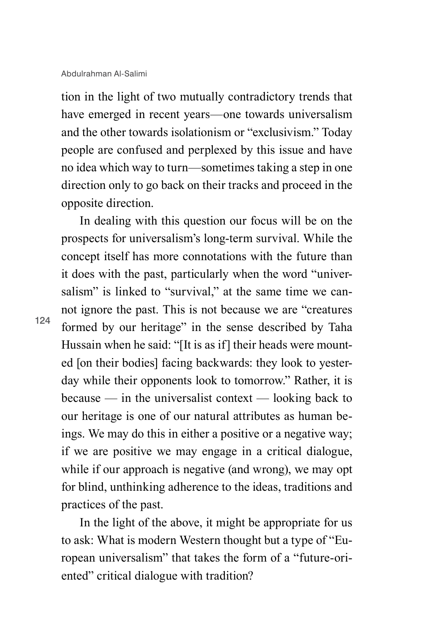tion in the light of two mutually contradictory trends that have emerged in recent years—one towards universalism and the other towards isolationism or "exclusivism." Today people are confused and perplexed by this issue and have no idea which way to turn—sometimes taking a step in one direction only to go back on their tracks and proceed in the opposite direction.

In dealing with this question our focus will be on the prospects for universalism's long-term survival. While the concept itself has more connotations with the future than it does with the past, particularly when the word "universalism" is linked to "survival," at the same time we cannot ignore the past. This is not because we are "creatures formed by our heritage" in the sense described by Taha Hussain when he said: "[It is as if] their heads were mounted [on their bodies] facing backwards: they look to yesterday while their opponents look to tomorrow." Rather, it is because — in the universalist context — looking back to our heritage is one of our natural attributes as human beings. We may do this in either a positive or a negative way; if we are positive we may engage in a critical dialogue, while if our approach is negative (and wrong), we may opt for blind, unthinking adherence to the ideas, traditions and practices of the past.

In the light of the above, it might be appropriate for us to ask: What is modern Western thought but a type of "European universalism" that takes the form of a "future-oriented" critical dialogue with tradition?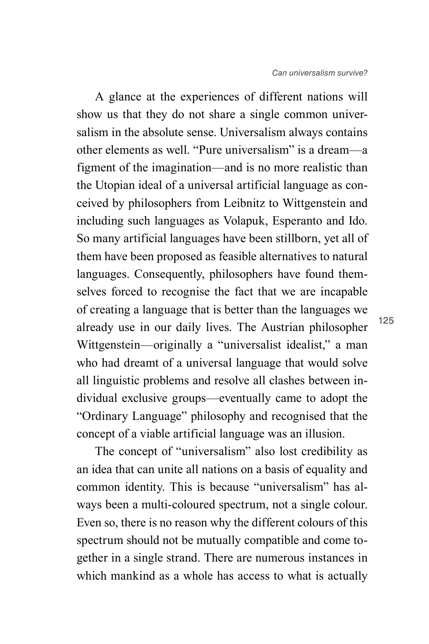A glance at the experiences of different nations will show us that they do not share a single common universalism in the absolute sense. Universalism always contains other elements as well. "Pure universalism" is a dream—a figment of the imagination—and is no more realistic than the Utopian ideal of a universal artificial language as conceived by philosophers from Leibnitz to Wittgenstein and including such languages as Volapuk, Esperanto and Ido. So many artificial languages have been stillborn, yet all of them have been proposed as feasible alternatives to natural languages. Consequently, philosophers have found themselves forced to recognise the fact that we are incapable of creating a language that is better than the languages we already use in our daily lives. The Austrian philosopher Wittgenstein—originally a "universalist idealist," a man who had dreamt of a universal language that would solve all linguistic problems and resolve all clashes between individual exclusive groups—eventually came to adopt the "Ordinary Language" philosophy and recognised that the concept of a viable artificial language was an illusion.

The concept of "universalism" also lost credibility as an idea that can unite all nations on a basis of equality and common identity. This is because "universalism" has always been a multi-coloured spectrum, not a single colour. Even so, there is no reason why the different colours of this spectrum should not be mutually compatible and come together in a single strand. There are numerous instances in which mankind as a whole has access to what is actually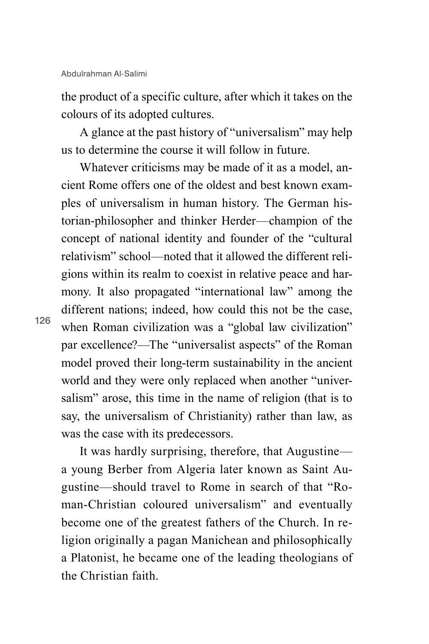the product of a specific culture, after which it takes on the colours of its adopted cultures.

A glance at the past history of "universalism" may help us to determine the course it will follow in future.

Whatever criticisms may be made of it as a model, ancient Rome offers one of the oldest and best known examples of universalism in human history. The German historian-philosopher and thinker Herder—champion of the concept of national identity and founder of the "cultural relativism" school—noted that it allowed the different religions within its realm to coexist in relative peace and harmony. It also propagated "international law" among the different nations; indeed, how could this not be the case, when Roman civilization was a "global law civilization" par excellence?—The "universalist aspects" of the Roman model proved their long-term sustainability in the ancient world and they were only replaced when another "universalism" arose, this time in the name of religion (that is to say, the universalism of Christianity) rather than law, as was the case with its predecessors.

It was hardly surprising, therefore, that Augustine a young Berber from Algeria later known as Saint Augustine—should travel to Rome in search of that "Roman-Christian coloured universalism" and eventually become one of the greatest fathers of the Church. In religion originally a pagan Manichean and philosophically a Platonist, he became one of the leading theologians of the Christian faith.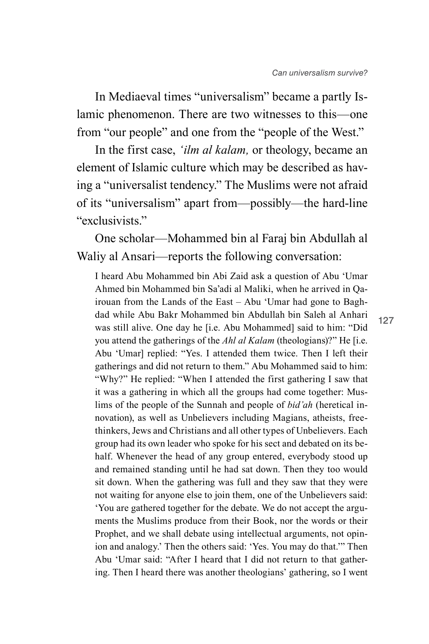In Mediaeval times "universalism" became a partly Islamic phenomenon. There are two witnesses to this—one from "our people" and one from the "people of the West."

In the first case, *'ilm al kalam,* or theology, became an element of Islamic culture which may be described as having a "universalist tendency." The Muslims were not afraid of its "universalism" apart from—possibly—the hard-line "exclusivists."

One scholar—Mohammed bin al Faraj bin Abdullah al Waliy al Ansari—reports the following conversation:

I heard Abu Mohammed bin Abi Zaid ask a question of Abu 'Umar Ahmed bin Mohammed bin Sa'adi al Maliki, when he arrived in Qairouan from the Lands of the East – Abu 'Umar had gone to Baghdad while Abu Bakr Mohammed bin Abdullah bin Saleh al Anhari was still alive. One day he [i.e. Abu Mohammed] said to him: "Did you attend the gatherings of the *Ahl al Kalam* (theologians)?" He [i.e. Abu 'Umar] replied: "Yes. I attended them twice. Then I left their gatherings and did not return to them." Abu Mohammed said to him: "Why?" He replied: "When I attended the first gathering I saw that it was a gathering in which all the groups had come together: Muslims of the people of the Sunnah and people of *bid'ah* (heretical innovation), as well as Unbelievers including Magians, atheists, freethinkers, Jews and Christians and all other types of Unbelievers. Each group had its own leader who spoke for his sect and debated on its behalf. Whenever the head of any group entered, everybody stood up and remained standing until he had sat down. Then they too would sit down. When the gathering was full and they saw that they were not waiting for anyone else to join them, one of the Unbelievers said: 'You are gathered together for the debate. We do not accept the arguments the Muslims produce from their Book, nor the words or their Prophet, and we shall debate using intellectual arguments, not opinion and analogy.' Then the others said: 'Yes. You may do that.'" Then Abu 'Umar said: "After I heard that I did not return to that gathering. Then I heard there was another theologians' gathering, so I went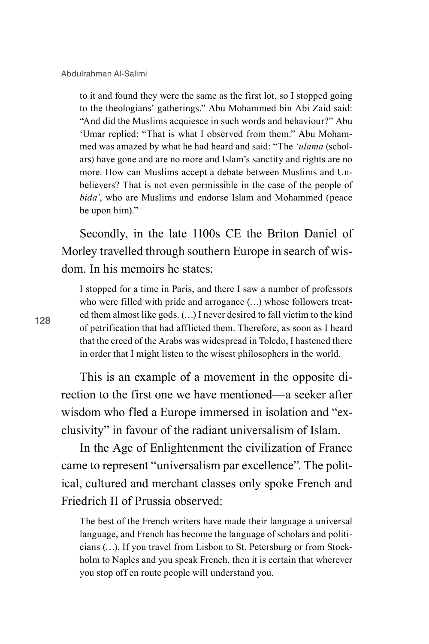to it and found they were the same as the first lot, so I stopped going to the theologians' gatherings." Abu Mohammed bin Abi Zaid said: "And did the Muslims acquiesce in such words and behaviour?" Abu 'Umar replied: "That is what I observed from them." Abu Mohammed was amazed by what he had heard and said: "The *'ulama* (scholars) have gone and are no more and Islam's sanctity and rights are no more. How can Muslims accept a debate between Muslims and Unbelievers? That is not even permissible in the case of the people of *bida'*, who are Muslims and endorse Islam and Mohammed (peace be upon him)."

Secondly, in the late 1100s CE the Briton Daniel of Morley travelled through southern Europe in search of wisdom. In his memoirs he states:

I stopped for a time in Paris, and there I saw a number of professors who were filled with pride and arrogance (…) whose followers treated them almost like gods. (…) I never desired to fall victim to the kind of petrification that had afflicted them. Therefore, as soon as I heard that the creed of the Arabs was widespread in Toledo, I hastened there in order that I might listen to the wisest philosophers in the world.

This is an example of a movement in the opposite direction to the first one we have mentioned—a seeker after wisdom who fled a Europe immersed in isolation and "exclusivity" in favour of the radiant universalism of Islam.

In the Age of Enlightenment the civilization of France came to represent "universalism par excellence". The political, cultured and merchant classes only spoke French and Friedrich II of Prussia observed:

The best of the French writers have made their language a universal language, and French has become the language of scholars and politicians (…). If you travel from Lisbon to St. Petersburg or from Stockholm to Naples and you speak French, then it is certain that wherever you stop off en route people will understand you.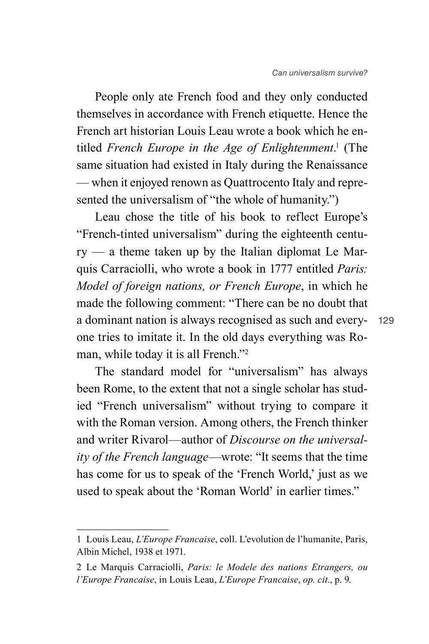People only ate French food and they only conducted themselves in accordance with French etiquette. Hence the French art historian Louis Leau wrote a book which he entitled *French Europe in the Age of Enlightenment*. 1 (The same situation had existed in Italy during the Renaissance — when it enjoyed renown as Quattrocento Italy and represented the universalism of "the whole of humanity.")

Leau chose the title of his book to reflect Europe's "French-tinted universalism" during the eighteenth century — a theme taken up by the Italian diplomat Le Marquis Carraciolli, who wrote a book in 1777 entitled *Paris: Model of foreign nations, or French Europe*, in which he made the following comment: "There can be no doubt that a dominant nation is always recognised as such and everyone tries to imitate it. In the old days everything was Roman, while today it is all French."2

The standard model for "universalism" has always been Rome, to the extent that not a single scholar has studied "French universalism" without trying to compare it with the Roman version. Among others, the French thinker and writer Rivarol—author of *Discourse on the universality of the French language*—wrote: "It seems that the time has come for us to speak of the 'French World,' just as we used to speak about the 'Roman World' in earlier times."

<sup>1</sup> Louis Leau, *L'Europe Francaise*, coll. L'evolution de l'humanite, Paris, Albin Michel, 1938 et 1971.

<sup>2</sup> Le Marquis Carraciolli, *Paris: le Modele des nations Etrangers, ou l'Europe Francaise*, in Louis Leau, *L'Europe Francaise*, *op. cit.*, p. 9.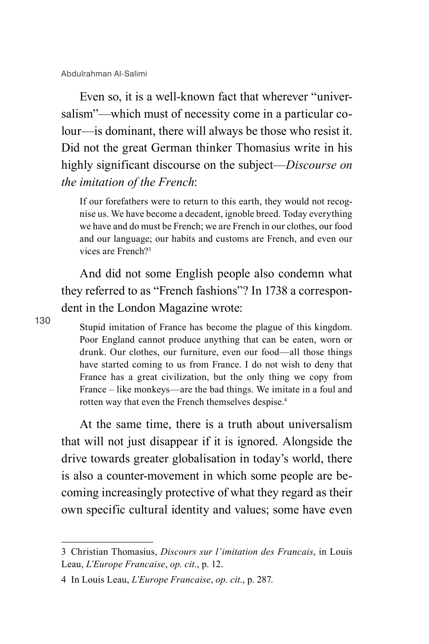Even so, it is a well-known fact that wherever "universalism"—which must of necessity come in a particular colour—is dominant, there will always be those who resist it. Did not the great German thinker Thomasius write in his highly significant discourse on the subject—*Discourse on the imitation of the French*:

If our forefathers were to return to this earth, they would not recognise us. We have become a decadent, ignoble breed. Today everything we have and do must be French; we are French in our clothes, our food and our language; our habits and customs are French, and even our vices are French?3

And did not some English people also condemn what they referred to as "French fashions"? In 1738 a correspondent in the London Magazine wrote:

130

Stupid imitation of France has become the plague of this kingdom. Poor England cannot produce anything that can be eaten, worn or drunk. Our clothes, our furniture, even our food—all those things have started coming to us from France. I do not wish to deny that France has a great civilization, but the only thing we copy from France – like monkeys—are the bad things. We imitate in a foul and rotten way that even the French themselves despise.4

At the same time, there is a truth about universalism that will not just disappear if it is ignored. Alongside the drive towards greater globalisation in today's world, there is also a counter-movement in which some people are becoming increasingly protective of what they regard as their own specific cultural identity and values; some have even

<sup>3</sup> Christian Thomasius, *Discours sur l'imitation des Francais*, in Louis Leau, *L'Europe Francaise*, *op. cit.*, p. 12.

<sup>4</sup> In Louis Leau, *L'Europe Francaise*, *op. cit.*, p. 287.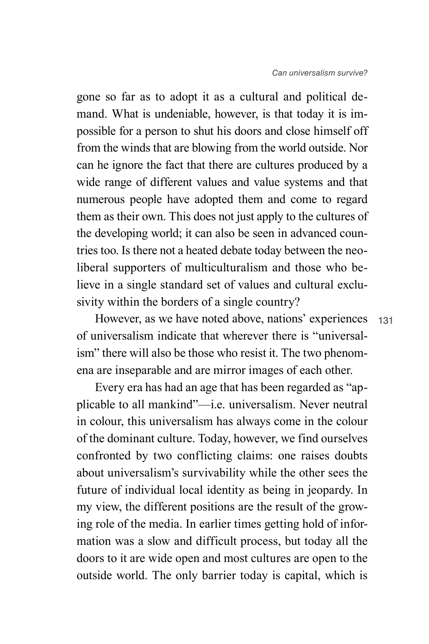gone so far as to adopt it as a cultural and political demand. What is undeniable, however, is that today it is impossible for a person to shut his doors and close himself off from the winds that are blowing from the world outside. Nor can he ignore the fact that there are cultures produced by a wide range of different values and value systems and that numerous people have adopted them and come to regard them as their own. This does not just apply to the cultures of the developing world; it can also be seen in advanced countries too. Is there not a heated debate today between the neoliberal supporters of multiculturalism and those who believe in a single standard set of values and cultural exclusivity within the borders of a single country?

131 However, as we have noted above, nations' experiences of universalism indicate that wherever there is "universalism" there will also be those who resist it. The two phenomena are inseparable and are mirror images of each other.

Every era has had an age that has been regarded as "applicable to all mankind"—i.e. universalism. Never neutral in colour, this universalism has always come in the colour of the dominant culture. Today, however, we find ourselves confronted by two conflicting claims: one raises doubts about universalism's survivability while the other sees the future of individual local identity as being in jeopardy. In my view, the different positions are the result of the growing role of the media. In earlier times getting hold of information was a slow and difficult process, but today all the doors to it are wide open and most cultures are open to the outside world. The only barrier today is capital, which is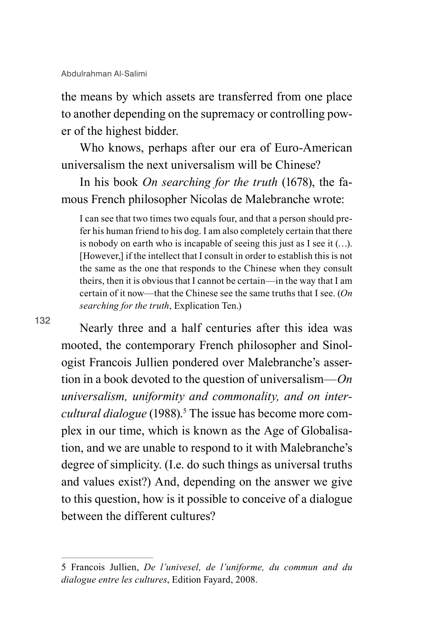the means by which assets are transferred from one place to another depending on the supremacy or controlling power of the highest bidder.

Who knows, perhaps after our era of Euro-American universalism the next universalism will be Chinese?

In his book *On searching for the truth* (1678), the famous French philosopher Nicolas de Malebranche wrote:

I can see that two times two equals four, and that a person should prefer his human friend to his dog. I am also completely certain that there is nobody on earth who is incapable of seeing this just as I see it (…). [However,] if the intellect that I consult in order to establish this is not the same as the one that responds to the Chinese when they consult theirs, then it is obvious that I cannot be certain—in the way that I am certain of it now—that the Chinese see the same truths that I see. (*On searching for the truth*, Explication Ten.)

132

Nearly three and a half centuries after this idea was mooted, the contemporary French philosopher and Sinologist Francois Jullien pondered over Malebranche's assertion in a book devoted to the question of universalism—*On universalism, uniformity and commonality, and on inter*cultural dialogue (1988).<sup>5</sup> The issue has become more complex in our time, which is known as the Age of Globalisation, and we are unable to respond to it with Malebranche's degree of simplicity. (I.e. do such things as universal truths and values exist?) And, depending on the answer we give to this question, how is it possible to conceive of a dialogue between the different cultures?

<sup>5</sup> Francois Jullien, *De l'univesel, de l'uniforme, du commun and du dialogue entre les cultures*, Edition Fayard, 2008.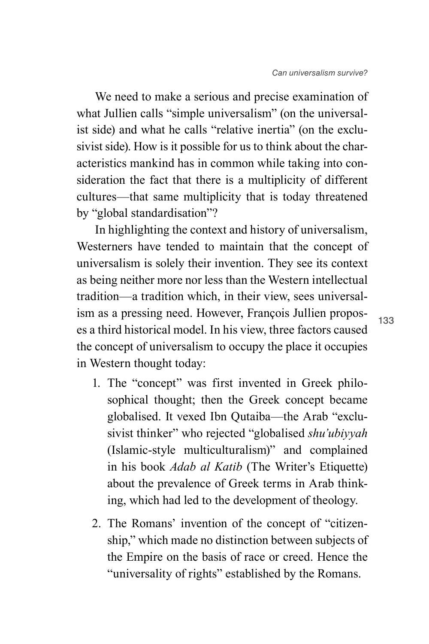We need to make a serious and precise examination of what Jullien calls "simple universalism" (on the universalist side) and what he calls "relative inertia" (on the exclusivist side). How is it possible for us to think about the characteristics mankind has in common while taking into consideration the fact that there is a multiplicity of different cultures—that same multiplicity that is today threatened by "global standardisation"?

In highlighting the context and history of universalism, Westerners have tended to maintain that the concept of universalism is solely their invention. They see its context as being neither more nor less than the Western intellectual tradition—a tradition which, in their view, sees universalism as a pressing need. However, François Jullien proposes a third historical model. In his view, three factors caused the concept of universalism to occupy the place it occupies in Western thought today:

- 1. The "concept" was first invented in Greek philosophical thought; then the Greek concept became globalised. It vexed Ibn Qutaiba—the Arab "exclusivist thinker" who rejected "globalised *shu'ubiyyah*  (Islamic-style multiculturalism)" and complained in his book *Adab al Katib* (The Writer's Etiquette) about the prevalence of Greek terms in Arab thinking, which had led to the development of theology.
- 2. The Romans' invention of the concept of "citizenship," which made no distinction between subjects of the Empire on the basis of race or creed. Hence the "universality of rights" established by the Romans.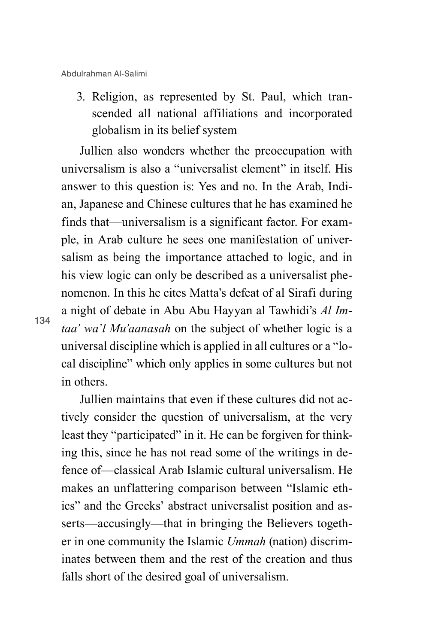3. Religion, as represented by St. Paul, which transcended all national affiliations and incorporated globalism in its belief system

Jullien also wonders whether the preoccupation with universalism is also a "universalist element" in itself. His answer to this question is: Yes and no. In the Arab, Indian, Japanese and Chinese cultures that he has examined he finds that—universalism is a significant factor. For example, in Arab culture he sees one manifestation of universalism as being the importance attached to logic, and in his view logic can only be described as a universalist phenomenon. In this he cites Matta's defeat of al Sirafi during a night of debate in Abu Abu Hayyan al Tawhidi's *Al Imtaa' wa'l Mu'aanasah* on the subject of whether logic is a universal discipline which is applied in all cultures or a "local discipline" which only applies in some cultures but not in others.

Jullien maintains that even if these cultures did not actively consider the question of universalism, at the very least they "participated" in it. He can be forgiven for thinking this, since he has not read some of the writings in defence of—classical Arab Islamic cultural universalism. He makes an unflattering comparison between "Islamic ethics" and the Greeks' abstract universalist position and asserts—accusingly—that in bringing the Believers together in one community the Islamic *Ummah* (nation) discriminates between them and the rest of the creation and thus falls short of the desired goal of universalism.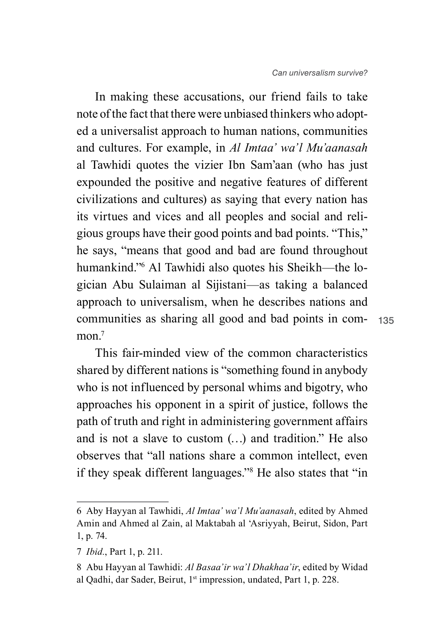communities as sharing all good and bad points in com-135 In making these accusations, our friend fails to take note of the fact that there were unbiased thinkers who adopted a universalist approach to human nations, communities and cultures. For example, in *Al Imtaa' wa'l Mu'aanasah* al Tawhidi quotes the vizier Ibn Sam'aan (who has just expounded the positive and negative features of different civilizations and cultures) as saying that every nation has its virtues and vices and all peoples and social and religious groups have their good points and bad points. "This," he says, "means that good and bad are found throughout humankind."6 Al Tawhidi also quotes his Sheikh—the logician Abu Sulaiman al Sijistani—as taking a balanced approach to universalism, when he describes nations and mon $<sup>7</sup>$ </sup>

This fair-minded view of the common characteristics shared by different nations is "something found in anybody who is not influenced by personal whims and bigotry, who approaches his opponent in a spirit of justice, follows the path of truth and right in administering government affairs and is not a slave to custom (…) and tradition." He also observes that "all nations share a common intellect, even if they speak different languages."8 He also states that "in

<sup>6</sup> Aby Hayyan al Tawhidi, *Al Imtaa' wa'l Mu'aanasah*, edited by Ahmed Amin and Ahmed al Zain, al Maktabah al 'Asriyyah, Beirut, Sidon, Part 1, p. 74.

<sup>7</sup> *Ibid.*, Part 1, p. 211.

<sup>8</sup> Abu Hayyan al Tawhidi: *Al Basaa'ir wa'l Dhakhaa'ir*, edited by Widad al Qadhi, dar Sader, Beirut, 1st impression, undated, Part 1, p. 228.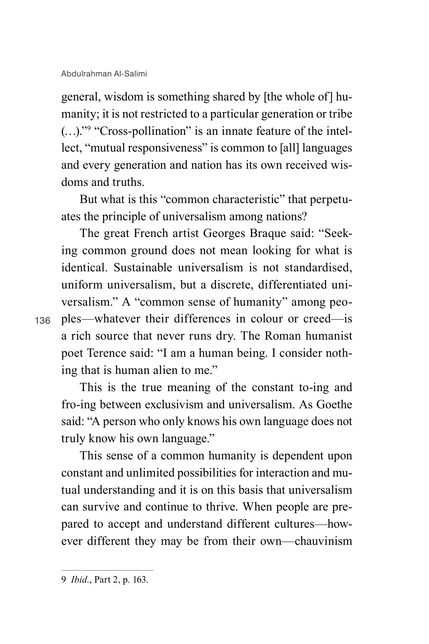general, wisdom is something shared by [the whole of] humanity; it is not restricted to a particular generation or tribe (…)."9 "Cross-pollination" is an innate feature of the intellect, "mutual responsiveness" is common to [all] languages and every generation and nation has its own received wisdoms and truths.

But what is this "common characteristic" that perpetuates the principle of universalism among nations?

The great French artist Georges Braque said: "Seeking common ground does not mean looking for what is identical. Sustainable universalism is not standardised, uniform universalism, but a discrete, differentiated universalism." A "common sense of humanity" among peoples—whatever their differences in colour or creed—is a rich source that never runs dry. The Roman humanist poet Terence said: "I am a human being. I consider nothing that is human alien to me."

This is the true meaning of the constant to-ing and fro-ing between exclusivism and universalism. As Goethe said: "A person who only knows his own language does not truly know his own language."

This sense of a common humanity is dependent upon constant and unlimited possibilities for interaction and mutual understanding and it is on this basis that universalism can survive and continue to thrive. When people are prepared to accept and understand different cultures—however different they may be from their own—chauvinism

<sup>9</sup> *Ibid.*, Part 2, p. 163.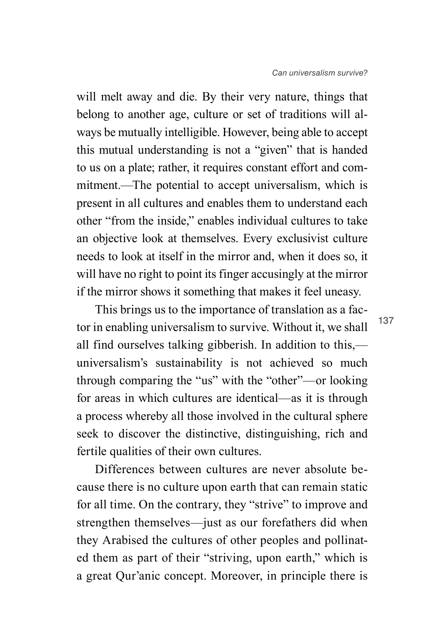will melt away and die. By their very nature, things that belong to another age, culture or set of traditions will always be mutually intelligible. However, being able to accept this mutual understanding is not a "given" that is handed to us on a plate; rather, it requires constant effort and commitment.—The potential to accept universalism, which is present in all cultures and enables them to understand each other "from the inside," enables individual cultures to take an objective look at themselves. Every exclusivist culture needs to look at itself in the mirror and, when it does so, it will have no right to point its finger accusingly at the mirror if the mirror shows it something that makes it feel uneasy.

This brings us to the importance of translation as a factor in enabling universalism to survive. Without it, we shall all find ourselves talking gibberish. In addition to this, universalism's sustainability is not achieved so much through comparing the "us" with the "other"—or looking for areas in which cultures are identical—as it is through a process whereby all those involved in the cultural sphere seek to discover the distinctive, distinguishing, rich and fertile qualities of their own cultures.

Differences between cultures are never absolute because there is no culture upon earth that can remain static for all time. On the contrary, they "strive" to improve and strengthen themselves—just as our forefathers did when they Arabised the cultures of other peoples and pollinated them as part of their "striving, upon earth," which is a great Qur'anic concept. Moreover, in principle there is